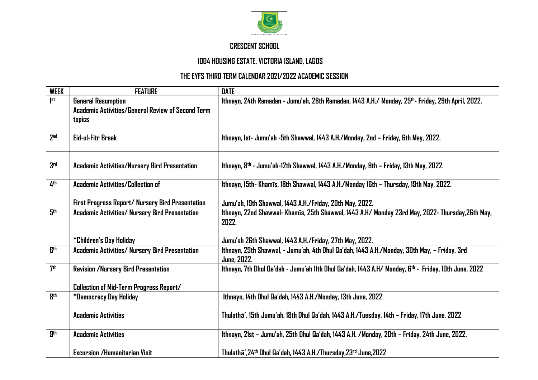

## **CRESCENT SCHOOL**

## **1004 HOUSING ESTATE, VICTORIA ISLAND, LAGOS**

## **THE EYFS THIRD TERM CALENDAR 2021/2022 ACADEMIC SESSION**

| <b>WEEK</b>     | <b>FEATURE</b>                                    | <b>DATE</b>                                                                                                    |
|-----------------|---------------------------------------------------|----------------------------------------------------------------------------------------------------------------|
| $ $ st          | <b>General Resumption</b>                         | Ithnayn, 24th Ramadan - Jumu'ah, 28th Ramadan, 1443 A.H./ Monday, 25 <sup>th</sup> - Friday, 29th April, 2022. |
|                 | Academic Activities/General Review of Second Term |                                                                                                                |
|                 | topics                                            |                                                                                                                |
|                 |                                                   |                                                                                                                |
| 2 <sub>nd</sub> | Eid-ul-Fitr Break                                 | Ithnayn, 1st- Jumu'ah -5th Shawwal, 1443 A.H./Monday, 2nd - Friday, 6th May, 2022.                             |
|                 |                                                   |                                                                                                                |
|                 |                                                   |                                                                                                                |
| 3 <sup>rd</sup> | Academic Activities/Nursery Bird Presentation     | Ithnayn, 8 <sup>th</sup> - Jumu'ah-12th Shawwal, 1443 A.H./Monday, 9th - Friday, 13th May, 2022.               |
|                 |                                                   |                                                                                                                |
| 4 <sup>th</sup> | <b>Academic Activities/Collection of</b>          | Ithnayn, 15th- Khamīs, 18th Shawwal, 1443 A.H./Monday 16th - Thursday, 19th May, 2022.                         |
|                 |                                                   |                                                                                                                |
|                 | First Progress Report/ Nursery Bird Presentation  | Jumu'ah, 19th Shawwal, 1443 A.H./Friday, 20th May, 2022.                                                       |
| 5th             | Academic Activities/ Nursery Bird Presentation    | Ithnayn, 22nd Shawwal- Khamis, 25th Shawwal, 1443 A.H/ Monday 23rd May, 2022- Thursday, 26th May,              |
|                 |                                                   | 2022.                                                                                                          |
|                 |                                                   |                                                                                                                |
|                 | *Children's Day Holiday                           | Jumu'ah 26th Shawwal, 1443 A.H./Friday, 27th May, 2022.                                                        |
| <b>Gth</b>      | Academic Activities/ Nursery Bird Presentation    | Ithnayn, 29th Shawwal, - Jumu'ah, 4th Dhul Qa'dah, 1443 A.H./Monday, 30th May, - Friday, 3rd                   |
|                 |                                                   | <b>June, 2022.</b>                                                                                             |
| 7 <sup>th</sup> | <b>Revision /Nursery Bird Presentation</b>        | Ithnayn, 7th Dhul Qa'dah - Jumu'ah 11th Dhul Qa'dah, 1443 A.H/ Monday, 6th - Friday, 10th June, 2022           |
|                 |                                                   |                                                                                                                |
|                 | <b>Collection of Mid-Term Progress Report/</b>    |                                                                                                                |
| <b>gth</b>      | *Democracy Day Holiday                            | Ithnayn, 14th Dhul Qa'dah, 1443 A.H./Monday, 13th June, 2022                                                   |
|                 |                                                   |                                                                                                                |
|                 | <b>Academic Activities</b>                        | Thulathā', 15th Jumu'ah, 18th Dhul Qa'dah, 1443 A.H./Tuesday, 14th – Friday, 17th June, 2022                   |
| gth             |                                                   |                                                                                                                |
|                 | <b>Academic Activities</b>                        | Ithnayn, 21st - Jumu'ah, 25th Dhul Qa'dah, 1443 A.H. /Monday, 20th - Friday, 24th June, 2022.                  |
|                 | <b>Excursion /Humanitarian Visit</b>              |                                                                                                                |
|                 |                                                   | Thulathā',24th Dhul Qa'dah, 1443 A.H./Thursday,23rd June,2022                                                  |